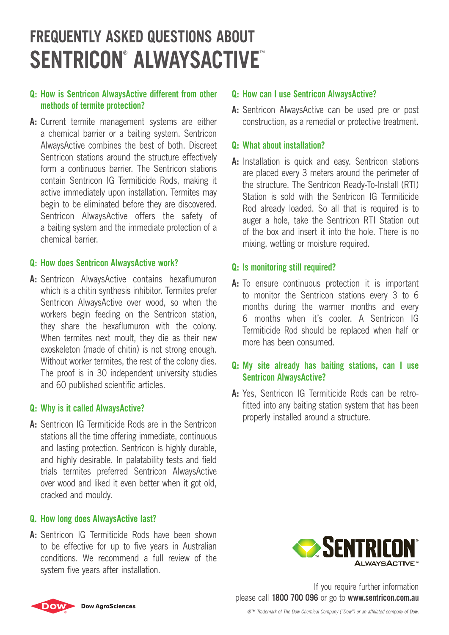# **Frequently Asked Questions About Sentricon**®  **AlwaysActive**™

## **Q: How is Sentricon AlwaysActive different from other methods of termite protection?**

**A:** Current termite management systems are either a chemical barrier or a baiting system. Sentricon AlwaysActive combines the best of both. Discreet Sentricon stations around the structure effectively form a continuous barrier. The Sentricon stations contain Sentricon IG Termiticide Rods, making it active immediately upon installation. Termites may begin to be eliminated before they are discovered. Sentricon AlwaysActive offers the safety of a baiting system and the immediate protection of a chemical barrier.

#### **Q: How does Sentricon AlwaysActive work?**

**A:** Sentricon AlwaysActive contains hexaflumuron which is a chitin synthesis inhibitor. Termites prefer Sentricon AlwaysActive over wood, so when the workers begin feeding on the Sentricon station, they share the hexaflumuron with the colony. When termites next moult, they die as their new exoskeleton (made of chitin) is not strong enough. Without worker termites, the rest of the colony dies. The proof is in 30 independent university studies and 60 published scientific articles.

#### **Q: Why is it called AlwaysActive?**

**A:** Sentricon IG Termiticide Rods are in the Sentricon stations all the time offering immediate, continuous and lasting protection. Sentricon is highly durable, and highly desirable. In palatability tests and field trials termites preferred Sentricon AlwaysActive over wood and liked it even better when it got old, cracked and mouldy.

#### **Q. How long does AlwaysActive last?**

**A:** Sentricon IG Termiticide Rods have been shown to be effective for up to five years in Australian conditions. We recommend a full review of the system five years after installation.

#### **Q: How can I use Sentricon AlwaysActive?**

**A:** Sentricon AlwaysActive can be used pre or post construction, as a remedial or protective treatment.

#### **Q: What about installation?**

**A:** Installation is quick and easy. Sentricon stations are placed every 3 meters around the perimeter of the structure. The Sentricon Ready-To-Install (RTI) Station is sold with the Sentricon IG Termiticide Rod already loaded. So all that is required is to auger a hole, take the Sentricon RTI Station out of the box and insert it into the hole. There is no mixing, wetting or moisture required.

#### **Q: Is monitoring still required?**

**A:** To ensure continuous protection it is important to monitor the Sentricon stations every 3 to 6 months during the warmer months and every 6 months when it's cooler. A Sentricon IG Termiticide Rod should be replaced when half or more has been consumed.

### **Q: My site already has baiting stations, can I use Sentricon AlwaysActive?**

**A:** Yes, Sentricon IG Termiticide Rods can be retrofitted into any baiting station system that has been properly installed around a structure.



If you require further information please call **1800 700 096** or go to **www.sentricon.com.au**



*®™ Trademark of The Dow Chemical Company ("Dow") or an affiliated company of Dow.*